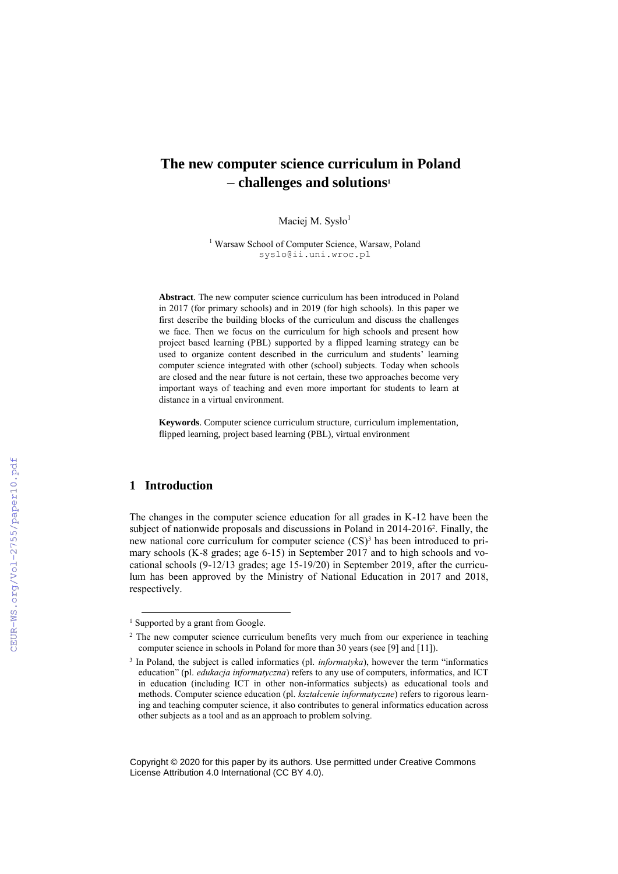# **The new computer science curriculum in Poland – challenges and solutions<sup>1</sup>**

Maciej M. Sysło<sup>1</sup>

<sup>1</sup> Warsaw School of Computer Science, Warsaw, Poland syslo@ii.uni.wroc.pl

**Abstract**. The new computer science curriculum has been introduced in Poland in 2017 (for primary schools) and in 2019 (for high schools). In this paper we first describe the building blocks of the curriculum and discuss the challenges we face. Then we focus on the curriculum for high schools and present how project based learning (PBL) supported by a flipped learning strategy can be used to organize content described in the curriculum and students' learning computer science integrated with other (school) subjects. Today when schools are closed and the near future is not certain, these two approaches become very important ways of teaching and even more important for students to learn at distance in a virtual environment.

**Keywords**. Computer science curriculum structure, curriculum implementation, flipped learning, project based learning (PBL), virtual environment

## **1 Introduction**

-

The changes in the computer science education for all grades in K-12 have been the subject of nationwide proposals and discussions in Poland in 2014-2016<sup>2</sup>. Finally, the new national core curriculum for computer science (CS) <sup>3</sup> has been introduced to primary schools (K-8 grades; age 6-15) in September 2017 and to high schools and vocational schools (9-12/13 grades; age 15-19/20) in September 2019, after the curriculum has been approved by the Ministry of National Education in 2017 and 2018, respectively.

Copyright © 2020 for this paper by its authors. Use permitted under Creative Commons License Attribution 4.0 International (CC BY 4.0).

<sup>&</sup>lt;sup>1</sup> Supported by a grant from Google.

<sup>&</sup>lt;sup>2</sup> The new computer science curriculum benefits very much from our experience in teaching computer science in schools in Poland for more than 30 years (see [9] and [11]).

<sup>&</sup>lt;sup>3</sup> In Poland, the subject is called informatics (pl. *informatyka*), however the term "informatics education" (pl. *edukacja informatyczna*) refers to any use of computers, informatics, and ICT in education (including ICT in other non-informatics subjects) as educational tools and methods. Computer science education (pl. *kształcenie informatyczne*) refers to rigorous learning and teaching computer science, it also contributes to general informatics education across other subjects as a tool and as an approach to problem solving.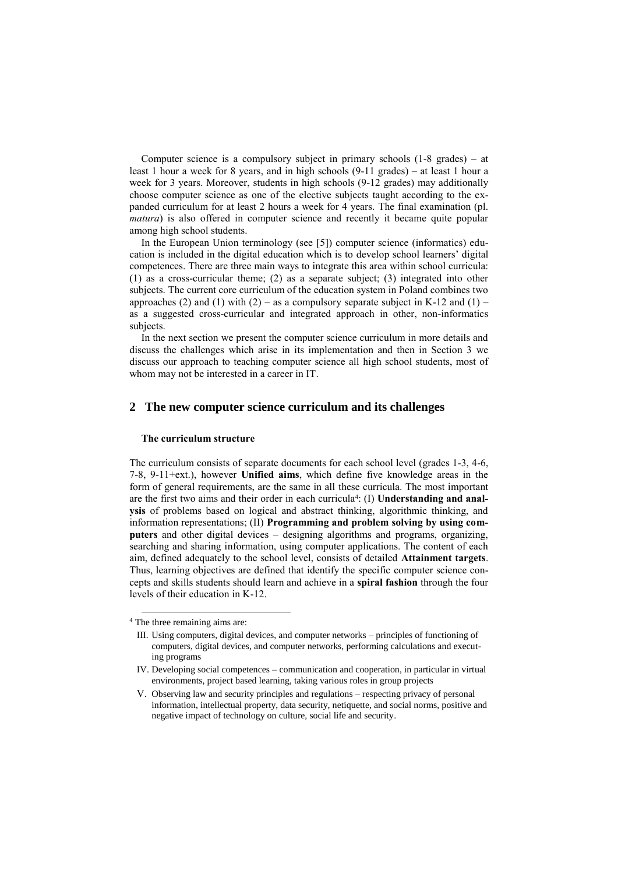Computer science is a compulsory subject in primary schools (1-8 grades) – at least 1 hour a week for 8 years, and in high schools (9-11 grades) – at least 1 hour a week for 3 years. Moreover, students in high schools (9-12 grades) may additionally choose computer science as one of the elective subjects taught according to the expanded curriculum for at least 2 hours a week for 4 years. The final examination (pl. *matura*) is also offered in computer science and recently it became quite popular among high school students.

In the European Union terminology (see [5]) computer science (informatics) education is included in the digital education which is to develop school learners' digital competences. There are three main ways to integrate this area within school curricula: (1) as a cross-curricular theme; (2) as a separate subject; (3) integrated into other subjects. The current core curriculum of the education system in Poland combines two approaches (2) and (1) with (2) – as a compulsory separate subject in K-12 and (1) – as a suggested cross-curricular and integrated approach in other, non-informatics subjects.

In the next section we present the computer science curriculum in more details and discuss the challenges which arise in its implementation and then in Section 3 we discuss our approach to teaching computer science all high school students, most of whom may not be interested in a career in IT.

#### **2 The new computer science curriculum and its challenges**

#### **The curriculum structure**

The curriculum consists of separate documents for each school level (grades 1-3, 4-6, 7-8, 9-11+ext.), however **Unified aims**, which define five knowledge areas in the form of general requirements, are the same in all these curricula. The most important are the first two aims and their order in each curricula<sup>4</sup> : (I) **Understanding and analysis** of problems based on logical and abstract thinking, algorithmic thinking, and information representations; (II) **Programming and problem solving by using computers** and other digital devices – designing algorithms and programs, organizing, searching and sharing information, using computer applications. The content of each aim, defined adequately to the school level, consists of detailed **Attainment targets**. Thus, learning objectives are defined that identify the specific computer science concepts and skills students should learn and achieve in a **spiral fashion** through the four levels of their education in K-12.

1

<sup>4</sup> The three remaining aims are:

III. Using computers, digital devices, and computer networks – principles of functioning of computers, digital devices, and computer networks, performing calculations and executing programs

IV. Developing social competences – communication and cooperation, in particular in virtual environments, project based learning, taking various roles in group projects

V. Observing law and security principles and regulations – respecting privacy of personal information, intellectual property, data security, netiquette, and social norms, positive and negative impact of technology on culture, social life and security.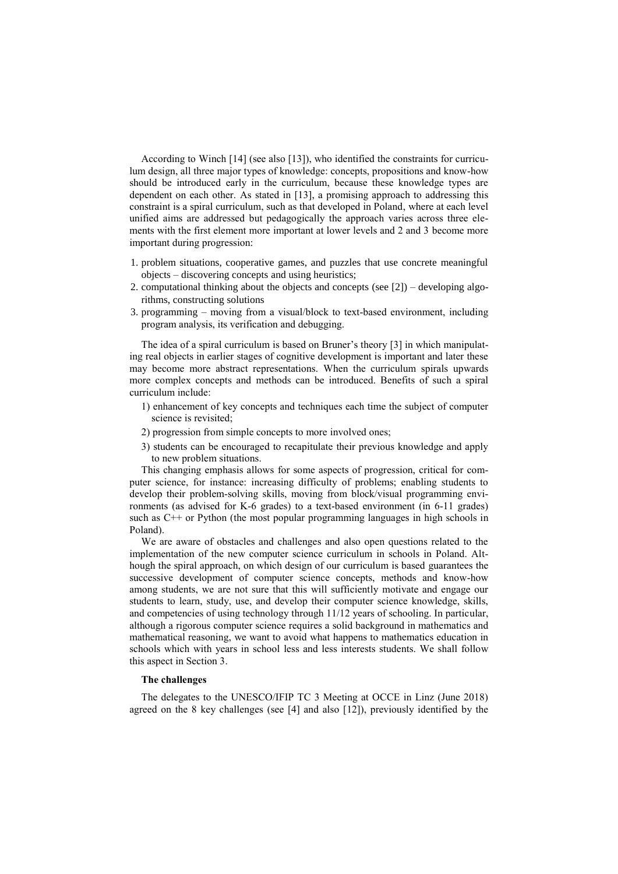According to Winch [14] (see also [13]), who identified the constraints for curriculum design, all three major types of knowledge: concepts, propositions and know-how should be introduced early in the curriculum, because these knowledge types are dependent on each other. As stated in [13], a promising approach to addressing this constraint is a spiral curriculum, such as that developed in Poland, where at each level unified aims are addressed but pedagogically the approach varies across three elements with the first element more important at lower levels and 2 and 3 become more important during progression:

- 1. problem situations, cooperative games, and puzzles that use concrete meaningful objects – discovering concepts and using heuristics;
- 2. computational thinking about the objects and concepts (see [2]) developing algorithms, constructing solutions
- 3. programming moving from a visual/block to text-based environment, including program analysis, its verification and debugging.

The idea of a spiral curriculum is based on Bruner's theory [3] in which manipulating real objects in earlier stages of cognitive development is important and later these may become more abstract representations. When the curriculum spirals upwards more complex concepts and methods can be introduced. Benefits of such a spiral curriculum include:

- 1) enhancement of key concepts and techniques each time the subject of computer science is revisited;
- 2) progression from simple concepts to more involved ones;
- 3) students can be encouraged to recapitulate their previous knowledge and apply to new problem situations.

This changing emphasis allows for some aspects of progression, critical for computer science, for instance: increasing difficulty of problems; enabling students to develop their problem-solving skills, moving from block/visual programming environments (as advised for K-6 grades) to a text-based environment (in 6-11 grades) such as  $C^{++}$  or Python (the most popular programming languages in high schools in Poland).

We are aware of obstacles and challenges and also open questions related to the implementation of the new computer science curriculum in schools in Poland. Although the spiral approach, on which design of our curriculum is based guarantees the successive development of computer science concepts, methods and know-how among students, we are not sure that this will sufficiently motivate and engage our students to learn, study, use, and develop their computer science knowledge, skills, and competencies of using technology through 11/12 years of schooling. In particular, although a rigorous computer science requires a solid background in mathematics and mathematical reasoning, we want to avoid what happens to mathematics education in schools which with years in school less and less interests students. We shall follow this aspect in Section 3.

#### **The challenges**

The delegates to the UNESCO/IFIP TC 3 Meeting at OCCE in Linz (June 2018) agreed on the 8 key challenges (see [4] and also [12]), previously identified by the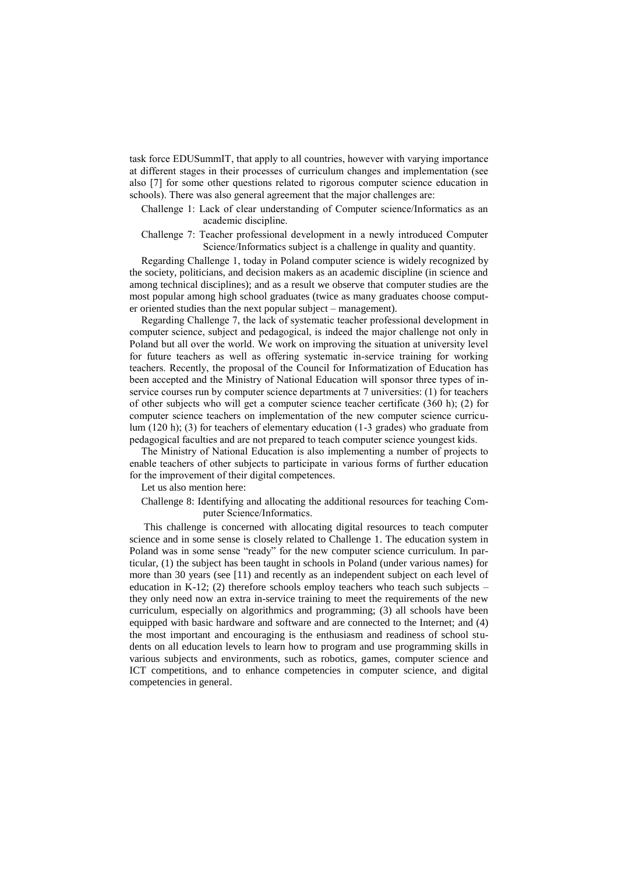task force EDUSummIT, that apply to all countries, however with varying importance at different stages in their processes of curriculum changes and implementation (see also [7] for some other questions related to rigorous computer science education in schools). There was also general agreement that the major challenges are:

- Challenge 1: Lack of clear understanding of Computer science/Informatics as an academic discipline.
- Challenge 7: Teacher professional development in a newly introduced Computer Science/Informatics subject is a challenge in quality and quantity.

Regarding Challenge 1, today in Poland computer science is widely recognized by the society, politicians, and decision makers as an academic discipline (in science and among technical disciplines); and as a result we observe that computer studies are the most popular among high school graduates (twice as many graduates choose computer oriented studies than the next popular subject – management).

Regarding Challenge 7, the lack of systematic teacher professional development in computer science, subject and pedagogical, is indeed the major challenge not only in Poland but all over the world. We work on improving the situation at university level for future teachers as well as offering systematic in-service training for working teachers. Recently, the proposal of the Council for Informatization of Education has been accepted and the Ministry of National Education will sponsor three types of inservice courses run by computer science departments at 7 universities: (1) for teachers of other subjects who will get a computer science teacher certificate (360 h); (2) for computer science teachers on implementation of the new computer science curriculum (120 h); (3) for teachers of elementary education (1-3 grades) who graduate from pedagogical faculties and are not prepared to teach computer science youngest kids.

The Ministry of National Education is also implementing a number of projects to enable teachers of other subjects to participate in various forms of further education for the improvement of their digital competences.

Let us also mention here:

Challenge 8: Identifying and allocating the additional resources for teaching Computer Science/Informatics.

This challenge is concerned with allocating digital resources to teach computer science and in some sense is closely related to Challenge 1. The education system in Poland was in some sense "ready" for the new computer science curriculum. In particular, (1) the subject has been taught in schools in Poland (under various names) for more than 30 years (see [11) and recently as an independent subject on each level of education in K-12; (2) therefore schools employ teachers who teach such subjects  $$ they only need now an extra in-service training to meet the requirements of the new curriculum, especially on algorithmics and programming; (3) all schools have been equipped with basic hardware and software and are connected to the Internet; and (4) the most important and encouraging is the enthusiasm and readiness of school students on all education levels to learn how to program and use programming skills in various subjects and environments, such as robotics, games, computer science and ICT competitions, and to enhance competencies in computer science, and digital competencies in general.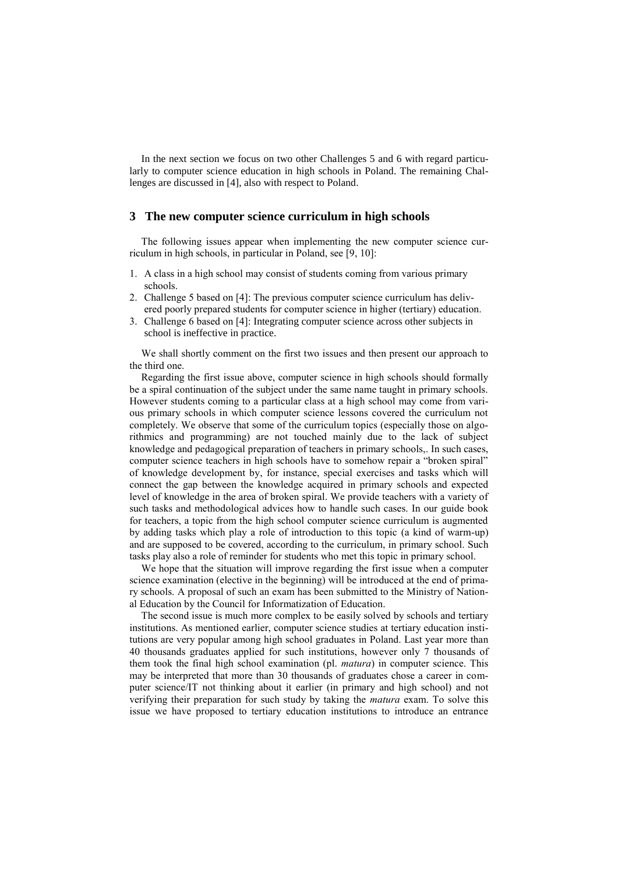In the next section we focus on two other Challenges 5 and 6 with regard particularly to computer science education in high schools in Poland. The remaining Challenges are discussed in [4], also with respect to Poland.

## **3 The new computer science curriculum in high schools**

The following issues appear when implementing the new computer science curriculum in high schools, in particular in Poland, see [9, 10]:

- 1. A class in a high school may consist of students coming from various primary schools.
- 2. Challenge 5 based on [4]: The previous computer science curriculum has delivered poorly prepared students for computer science in higher (tertiary) education.
- 3. Challenge 6 based on [4]: Integrating computer science across other subjects in school is ineffective in practice.

We shall shortly comment on the first two issues and then present our approach to the third one.

Regarding the first issue above, computer science in high schools should formally be a spiral continuation of the subject under the same name taught in primary schools. However students coming to a particular class at a high school may come from various primary schools in which computer science lessons covered the curriculum not completely. We observe that some of the curriculum topics (especially those on algorithmics and programming) are not touched mainly due to the lack of subject knowledge and pedagogical preparation of teachers in primary schools,. In such cases, computer science teachers in high schools have to somehow repair a "broken spiral" of knowledge development by, for instance, special exercises and tasks which will connect the gap between the knowledge acquired in primary schools and expected level of knowledge in the area of broken spiral. We provide teachers with a variety of such tasks and methodological advices how to handle such cases. In our guide book for teachers, a topic from the high school computer science curriculum is augmented by adding tasks which play a role of introduction to this topic (a kind of warm-up) and are supposed to be covered, according to the curriculum, in primary school. Such tasks play also a role of reminder for students who met this topic in primary school.

We hope that the situation will improve regarding the first issue when a computer science examination (elective in the beginning) will be introduced at the end of primary schools. A proposal of such an exam has been submitted to the Ministry of National Education by the Council for Informatization of Education.

The second issue is much more complex to be easily solved by schools and tertiary institutions. As mentioned earlier, computer science studies at tertiary education institutions are very popular among high school graduates in Poland. Last year more than 40 thousands graduates applied for such institutions, however only 7 thousands of them took the final high school examination (pl. *matura*) in computer science. This may be interpreted that more than 30 thousands of graduates chose a career in computer science/IT not thinking about it earlier (in primary and high school) and not verifying their preparation for such study by taking the *matura* exam. To solve this issue we have proposed to tertiary education institutions to introduce an entrance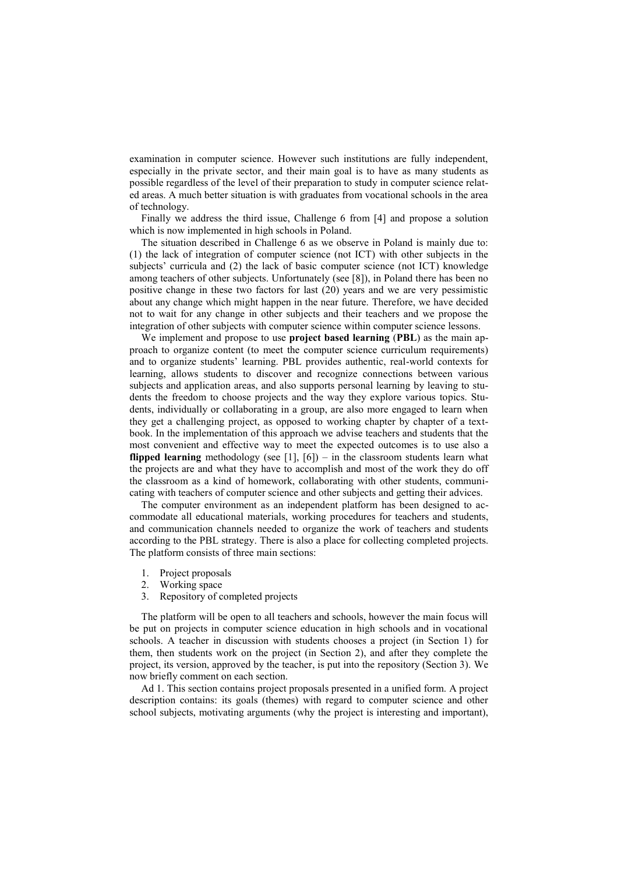examination in computer science. However such institutions are fully independent, especially in the private sector, and their main goal is to have as many students as possible regardless of the level of their preparation to study in computer science related areas. A much better situation is with graduates from vocational schools in the area of technology.

Finally we address the third issue, Challenge 6 from [4] and propose a solution which is now implemented in high schools in Poland.

The situation described in Challenge 6 as we observe in Poland is mainly due to: (1) the lack of integration of computer science (not ICT) with other subjects in the subjects' curricula and (2) the lack of basic computer science (not ICT) knowledge among teachers of other subjects. Unfortunately (see [8]), in Poland there has been no positive change in these two factors for last (20) years and we are very pessimistic about any change which might happen in the near future. Therefore, we have decided not to wait for any change in other subjects and their teachers and we propose the integration of other subjects with computer science within computer science lessons.

We implement and propose to use **project based learning** (**PBL**) as the main approach to organize content (to meet the computer science curriculum requirements) and to organize students' learning. PBL provides authentic, real-world contexts for learning, allows students to discover and recognize connections between various subjects and application areas, and also supports personal learning by leaving to students the freedom to choose projects and the way they explore various topics. Students, individually or collaborating in a group, are also more engaged to learn when they get a challenging project, as opposed to working chapter by chapter of a textbook. In the implementation of this approach we advise teachers and students that the most convenient and effective way to meet the expected outcomes is to use also a **flipped learning** methodology (see [1], [6]) – in the classroom students learn what the projects are and what they have to accomplish and most of the work they do off the classroom as a kind of homework, collaborating with other students, communicating with teachers of computer science and other subjects and getting their advices.

The computer environment as an independent platform has been designed to accommodate all educational materials, working procedures for teachers and students, and communication channels needed to organize the work of teachers and students according to the PBL strategy. There is also a place for collecting completed projects. The platform consists of three main sections:

- 1. Project proposals
- 2. Working space
- 3. Repository of completed projects

The platform will be open to all teachers and schools, however the main focus will be put on projects in computer science education in high schools and in vocational schools. A teacher in discussion with students chooses a project (in Section 1) for them, then students work on the project (in Section 2), and after they complete the project, its version, approved by the teacher, is put into the repository (Section 3). We now briefly comment on each section.

Ad 1. This section contains project proposals presented in a unified form. A project description contains: its goals (themes) with regard to computer science and other school subjects, motivating arguments (why the project is interesting and important),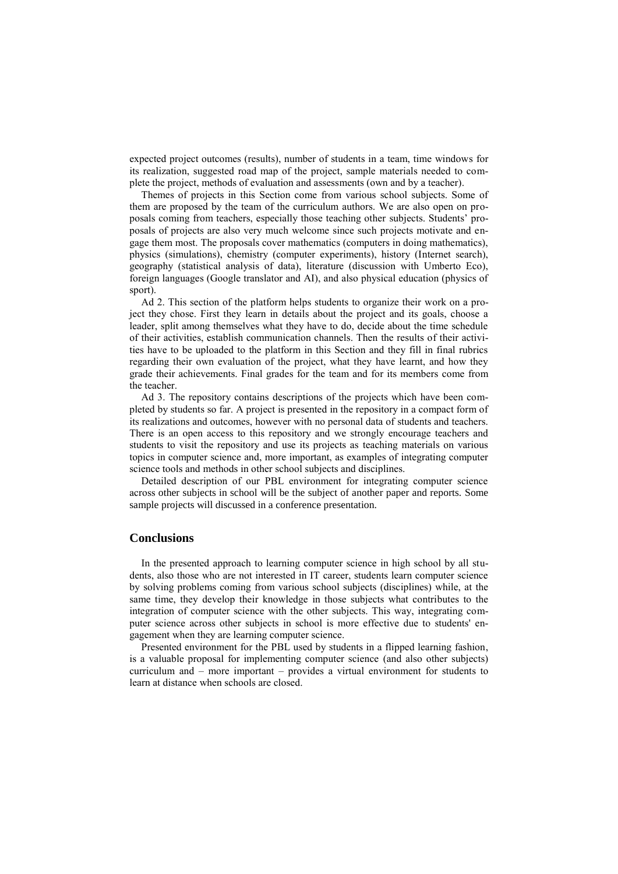expected project outcomes (results), number of students in a team, time windows for its realization, suggested road map of the project, sample materials needed to complete the project, methods of evaluation and assessments (own and by a teacher).

Themes of projects in this Section come from various school subjects. Some of them are proposed by the team of the curriculum authors. We are also open on proposals coming from teachers, especially those teaching other subjects. Students' proposals of projects are also very much welcome since such projects motivate and engage them most. The proposals cover mathematics (computers in doing mathematics), physics (simulations), chemistry (computer experiments), history (Internet search), geography (statistical analysis of data), literature (discussion with Umberto Eco), foreign languages (Google translator and AI), and also physical education (physics of sport).

Ad 2. This section of the platform helps students to organize their work on a project they chose. First they learn in details about the project and its goals, choose a leader, split among themselves what they have to do, decide about the time schedule of their activities, establish communication channels. Then the results of their activities have to be uploaded to the platform in this Section and they fill in final rubrics regarding their own evaluation of the project, what they have learnt, and how they grade their achievements. Final grades for the team and for its members come from the teacher.

Ad 3. The repository contains descriptions of the projects which have been completed by students so far. A project is presented in the repository in a compact form of its realizations and outcomes, however with no personal data of students and teachers. There is an open access to this repository and we strongly encourage teachers and students to visit the repository and use its projects as teaching materials on various topics in computer science and, more important, as examples of integrating computer science tools and methods in other school subjects and disciplines.

Detailed description of our PBL environment for integrating computer science across other subjects in school will be the subject of another paper and reports. Some sample projects will discussed in a conference presentation.

### **Conclusions**

In the presented approach to learning computer science in high school by all students, also those who are not interested in IT career, students learn computer science by solving problems coming from various school subjects (disciplines) while, at the same time, they develop their knowledge in those subjects what contributes to the integration of computer science with the other subjects. This way, integrating computer science across other subjects in school is more effective due to students' engagement when they are learning computer science.

Presented environment for the PBL used by students in a flipped learning fashion, is a valuable proposal for implementing computer science (and also other subjects) curriculum and – more important – provides a virtual environment for students to learn at distance when schools are closed.